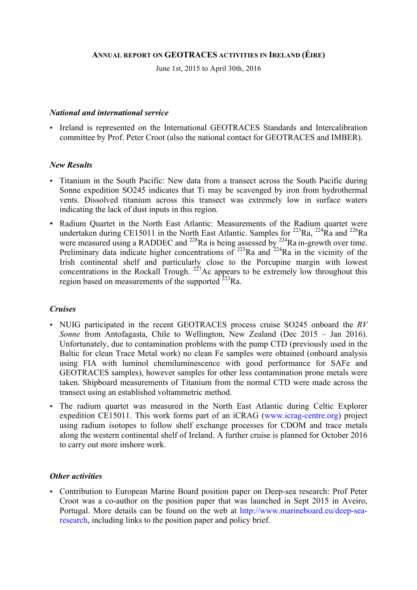## **ANNUAL REPORT ON GEOTRACES ACTIVITIES IN IRELAND (ÉIRE)**

June 1st, 2015 to April 30th, 2016

### *National and international service*

• Ireland is represented on the International GEOTRACES Standards and Intercalibration committee by Prof. Peter Croot (also the national contact for GEOTRACES and IMBER).

## *New Results*

- Titanium in the South Pacific: New data from a transect across the South Pacific during Sonne expedition SO245 indicates that Ti may be scavenged by iron from hydrothermal vents. Dissolved titanium across this transect was extremely low in surface waters indicating the lack of dust inputs in this region.
- Radium Quartet in the North East Atlantic: Measurements of the Radium quartet were undertaken during CE15011 in the North East Atlantic. Samples for  $^{223}$ Ra,  $^{224}$ Ra and  $^{226}$ Ra were measured using a RADDEC and <sup>228</sup>Ra is being assessed by <sup>224</sup>Ra in-growth over time. Preliminary data indicate higher concentrations of  $^{223}$ Ra and  $^{224}$ Ra in the vicinity of the Irish continental shelf and particularly close to the Porcupine margin with lowest concentrations in the Rockall Trough.  $227$  Ac appears to be extremely low throughout this region based on measurements of the supported  $^{223}$ Ra.

#### *Cruises*

- NUIG participated in the recent GEOTRACES process cruise SO245 onboard the *RV Sonne* from Antofagasta, Chile to Wellington, New Zealand (Dec 2015 – Jan 2016). Unfortunately, due to contamination problems with the pump CTD (previously used in the Baltic for clean Trace Metal work) no clean Fe samples were obtained (onboard analysis using FIA with luminol chemiluminescence with good performance for SAFe and GEOTRACES samples), however samples for other less contamination prone metals were taken. Shipboard measurements of Titanium from the normal CTD were made across the transect using an established voltammetric method.
- The radium quartet was measured in the North East Atlantic during Celtic Explorer expedition CE15011. This work forms part of an iCRAG (www.icrag-centre.org) project using radium isotopes to follow shelf exchange processes for CDOM and trace metals along the western continental shelf of Ireland. A further cruise is planned for October 2016 to carry out more inshore work.

#### *Other activities*

• Contribution to European Marine Board position paper on Deep-sea research: Prof Peter Croot was a co-author on the position paper that was launched in Sept 2015 in Aveiro, Portugal. More details can be found on the web at http://www.marineboard.eu/deep-searesearch, including links to the position paper and policy brief.